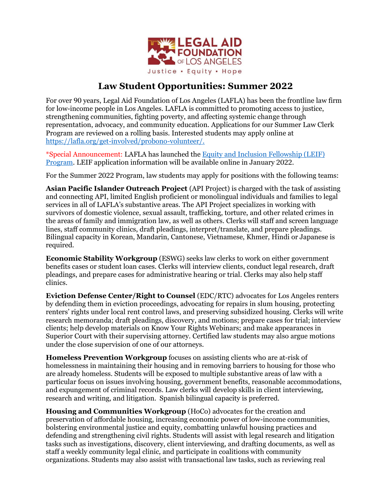

## **Law Student Opportunities: Summer 2022**

For over 90 years, Legal Aid Foundation of Los Angeles (LAFLA) has been the frontline law firm for low-income people in Los Angeles. LAFLA is committed to promoting access to justice, strengthening communities, fighting poverty, and affecting systemic change through representation, advocacy, and community education. Applications for our Summer Law Clerk Program are reviewed on a rolling basis. Interested students may apply online at [https://lafla.org/get-involved/probono-volunteer/.](https://lafla.org/get-involved/probono-volunteer/)

\*Special Announcement: LAFLA has launched th[e Equity and Inclusion Fellowship \(LEIF\)](https://lafla.org/stories-events/lafla-launches-equity-and-inclusion-fellowship-leif-program/)  [Program.](https://lafla.org/stories-events/lafla-launches-equity-and-inclusion-fellowship-leif-program/) LEIF application information will be available online in January 2022.

For the Summer 2022 Program, law students may apply for positions with the following teams:

**Asian Pacific Islander Outreach Project** (API Project) is charged with the task of assisting and connecting API, limited English proficient or monolingual individuals and families to legal services in all of LAFLA's substantive areas. The API Project specializes in working with survivors of domestic violence, sexual assault, trafficking, torture, and other related crimes in the areas of family and immigration law, as well as others. Clerks will staff and screen language lines, staff community clinics, draft pleadings, interpret/translate, and prepare pleadings. Bilingual capacity in Korean, Mandarin, Cantonese, Vietnamese, Khmer, Hindi or Japanese is required.

**Economic Stability Workgroup** (ESWG) seeks law clerks to work on either government benefits cases or student loan cases. Clerks will interview clients, conduct legal research, draft pleadings, and prepare cases for administrative hearing or trial. Clerks may also help staff clinics.

**Eviction Defense Center/Right to Counsel** (EDC/RTC) advocates for Los Angeles renters by defending them in eviction proceedings, advocating for repairs in slum housing, protecting renters' rights under local rent control laws, and preserving subsidized housing. Clerks will write research memoranda; draft pleadings, discovery, and motions; prepare cases for trial; interview clients; help develop materials on Know Your Rights Webinars; and make appearances in Superior Court with their supervising attorney. Certified law students may also argue motions under the close supervision of one of our attorneys.

**Homeless Prevention Workgroup** focuses on assisting clients who are at-risk of homelessness in maintaining their housing and in removing barriers to housing for those who are already homeless. Students will be exposed to multiple substantive areas of law with a particular focus on issues involving housing, government benefits, reasonable accommodations, and expungement of criminal records. Law clerks will develop skills in client interviewing, research and writing, and litigation. Spanish bilingual capacity is preferred.

**Housing and Communities Workgroup** (HoCo) advocates for the creation and preservation of affordable housing, increasing economic power of low-income communities, bolstering environmental justice and equity, combatting unlawful housing practices and defending and strengthening civil rights. Students will assist with legal research and litigation tasks such as investigations, discovery, client interviewing, and drafting documents, as well as staff a weekly community legal clinic, and participate in coalitions with community organizations. Students may also assist with transactional law tasks, such as reviewing real